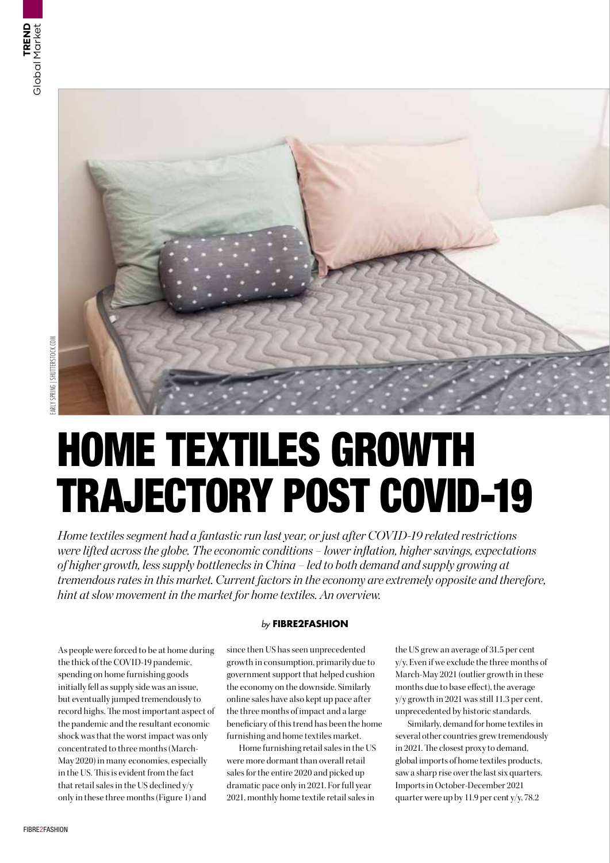

# HOME TEXTILES GROWTH TRAJECTORY POST COVID-19

*Home textiles segment had a fantastic run last year, or just after COVID-19 related restrictions were lifted across the globe. The economic conditions – lower inflation, higher savings, expectations of higher growth, less supply bottlenecks in China – led to both demand and supply growing at tremendous rates in this market. Current factors in the economy are extremely opposite and therefore, hint at slow movement in the market for home textiles. An overview.*

As people were forced to be at home during the thick of the COVID-19 pandemic, spending on home furnishing goods initially fell as supply side was an issue, but eventually jumped tremendously to record highs. The most important aspect of the pandemic and the resultant economic shock was that the worst impact was only concentrated to three months (March-May 2020) in many economies, especially in the US. This is evident from the fact that retail sales in the US declined y/y only in these three months (Figure 1) and

# *by* **FIBRE2FASHION**

since then US has seen unprecedented growth in consumption, primarily due to government support that helped cushion the economy on the downside. Similarly online sales have also kept up pace after the three months of impact and a large beneficiary of this trend has been the home furnishing and home textiles market.

Home furnishing retail sales in the US were more dormant than overall retail sales for the entire 2020 and picked up dramatic pace only in 2021. For full year 2021, monthly home textile retail sales in

the US grew an average of 31.5 per cent y/y. Even if we exclude the three months of March-May 2021 (outlier growth in these months due to base effect), the average y/y growth in 2021 was still 11.3 per cent, unprecedented by historic standards.

Similarly, demand for home textiles in several other countries grew tremendously in 2021. The closest proxy to demand, global imports of home textiles products, saw a sharp rise over the last six quarters. Imports in October-December 2021 quarter were up by 11.9 per cent y/y, 78.2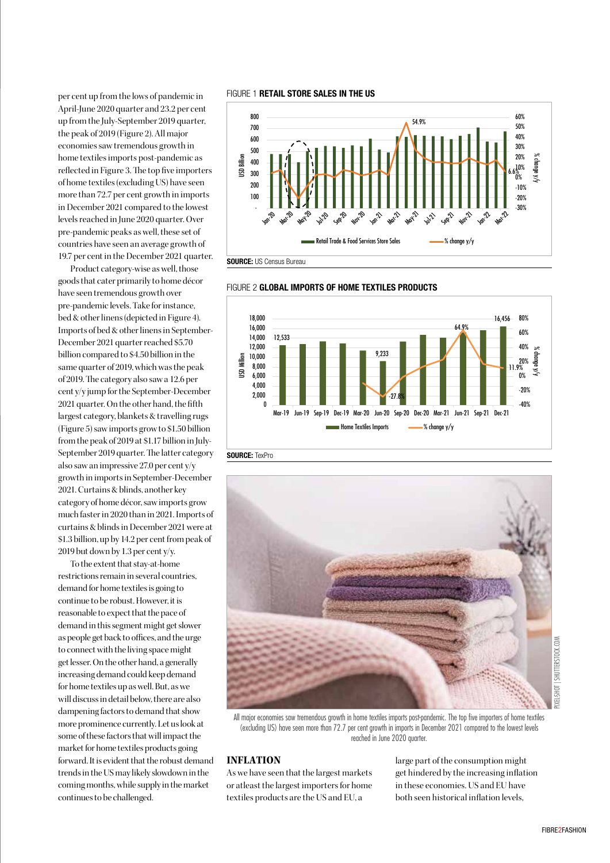per cent up from the lows of pandemic in April-June 2020 quarter and 23.2 per cent up from the July-September 2019 quarter, the peak of 2019 (Figure 2). All major economies saw tremendous growth in home textiles imports post-pandemic as reflected in Figure 3. The top five importers of home textiles (excluding US) have seen more than 72.7 per cent growth in imports in December 2021 compared to the lowest levels reached in June 2020 quarter. Over pre-pandemic peaks as well, these set of countries have seen an average growth of 19.7 per cent in the December 2021 quarter.

Product category-wise as well, those goods that cater primarily to home décor have seen tremendous growth over pre-pandemic levels. Take for instance, bed & other linens (depicted in Figure 4). Imports of bed & other linens in September-December 2021 quarter reached \$5.70 billion compared to \$4.50 billion in the same quarter of 2019, which was the peak of 2019. The category also saw a 12.6 per cent y/y jump for the September-December 2021 quarter. On the other hand, the fifth largest category, blankets & travelling rugs (Figure 5) saw imports grow to \$1.50 billion from the peak of 2019 at \$1.17 billion in July-September 2019 quarter. The latter category also saw an impressive 27.0 per cent y/y growth in imports in September-December 2021. Curtains & blinds, another key category of home décor, saw imports grow much faster in 2020 than in 2021. Imports of curtains & blinds in December 2021 were at \$1.3 billion, up by 14.2 per cent from peak of 2019 but down by 1.3 per cent y/y.

To the extent that stay-at-home restrictions remain in several countries, demand for home textiles is going to continue to be robust. However, it is reasonable to expect that the pace of demand in this segment might get slower as people get back to offices, and the urge to connect with the living space might get lesser. On the other hand, a generally increasing demand could keep demand for home textiles up as well. But, as we will discuss in detail below, there are also dampening factors to demand that show more prominence currently. Let us look at some of these factors that will impact the market for home textiles products going forward. It is evident that the robust demand trends in the US may likely slowdown in the coming months, while supply in the market continues to be challenged.

#### FIGURE 1 **RETAIL STORE SALES IN THE US**

FIGURE 2 GLOBAL IMPORTS OF HOME TEXTILES PRODUCTS







All major economies saw tremendous growth in home textiles imports post-pandemic. The top five importers of home textiles (excluding US) have seen more than 72.7 per cent growth in imports in December 2021 compared to the lowest levels reached in June 2020 quarter.

# **INFLATION**

As we have seen that the largest markets or atleast the largest importers for home textiles products are the US and EU, a

large part of the consumption might get hindered by the increasing inflation in these economies. US and EU have both seen historical inflation levels,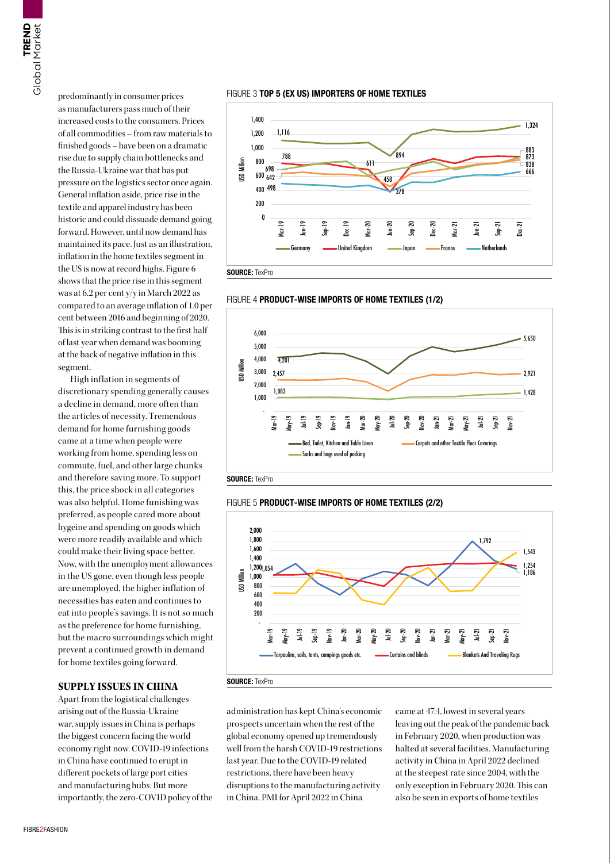predominantly in consumer prices as manufacturers pass much of their increased costs to the consumers. Prices of all commodities – from raw materials to finished goods – have been on a dramatic rise due to supply chain bottlenecks and the Russia-Ukraine war that has put pressure on the logistics sector once again. General inflation aside, price rise in the textile and apparel industry has been historic and could dissuade demand going forward. However, until now demand has maintained its pace. Just as an illustration, inflation in the home textiles segment in the US is now at record highs. Figure 6 shows that the price rise in this segment was at 6.2 per cent y/y in March 2022 as compared to an average inflation of 1.0 per cent between 2016 and beginning of 2020. This is in striking contrast to the first half of last year when demand was booming at the back of negative inflation in this segment.

**SHARR**<br>TREND TO Present as interests in the origin of it is the present of it is the present of it is the present in the sharket and the can wood een this was concerned in the same can be can be easing the present of  $\mathbf$ High inflation in segments of discretionary spending generally causes a decline in demand, more often than the articles of necessity. Tremendous demand for home furnishing goods came at a time when people were working from home, spending less on commute, fuel, and other large chunks and therefore saving more. To support this, the price shock in all categories was also helpful. Home funishing was preferred, as people cared more about hygeine and spending on goods which were more readily available and which could make their living space better. Now, with the unemployment allowances in the US gone, even though less people are unemployed, the higher inflation of necessities has eaten and continues to eat into people's savings. It is not so much as the preference for home furnishing, but the macro surroundings which might prevent a continued growth in demand for home textiles going forward.

# **SUPPLY ISSUES IN CHINA**

Apart from the logistical challenges arising out of the Russia-Ukraine war, supply issues in China is perhaps the biggest concern facing the world economy right now. COVID-19 infections in China have continued to erupt in different pockets of large port cities and manufacturing hubs. But more importantly, the zero-COVID policy of the













administration has kept China's economic prospects uncertain when the rest of the global economy opened up tremendously well from the harsh COVID-19 restrictions last year. Due to the COVID-19 related restrictions, there have been heavy disruptions to the manufacturing activity in China. PMI for April 2022 in China

came at 47.4, lowest in several years leaving out the peak of the pandemic back in February 2020, when production was halted at several facilities. Manufacturing activity in China in April 2022 declined at the steepest rate since 2004, with the only exception in February 2020. This can also be seen in exports of home textiles